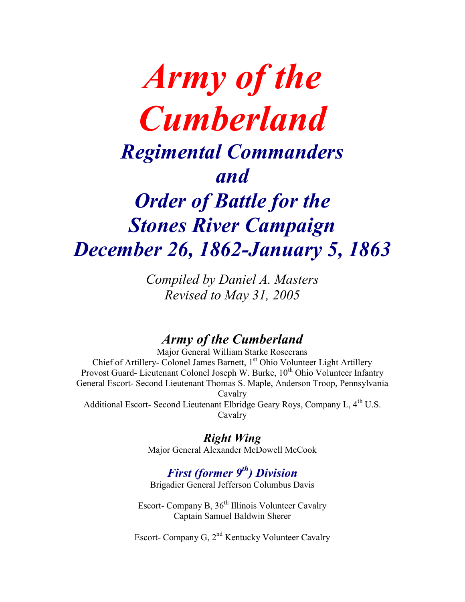# *Army of the Cumberland Regimental Commanders and Order of Battle for the Stones River Campaign December 26, 1862-January 5, 1863*

*Compiled by Daniel A. Masters Revised to May 31, 2005*

# *Army of the Cumberland*

Major General William Starke Rosecrans Chief of Artillery- Colonel James Barnett, 1<sup>st</sup> Ohio Volunteer Light Artillery Provost Guard- Lieutenant Colonel Joseph W. Burke, 10<sup>th</sup> Ohio Volunteer Infantry General Escort- Second Lieutenant Thomas S. Maple, Anderson Troop, Pennsylvania Cavalry Additional Escort- Second Lieutenant Elbridge Geary Roys, Company L, 4<sup>th</sup> U.S. Cavalry

# *Right Wing*

Major General Alexander McDowell McCook

# *First (former 9th) Division*

Brigadier General Jefferson Columbus Davis

Escort- Company B, 36<sup>th</sup> Illinois Volunteer Cavalry Captain Samuel Baldwin Sherer

Escort- Company G, 2<sup>nd</sup> Kentucky Volunteer Cavalry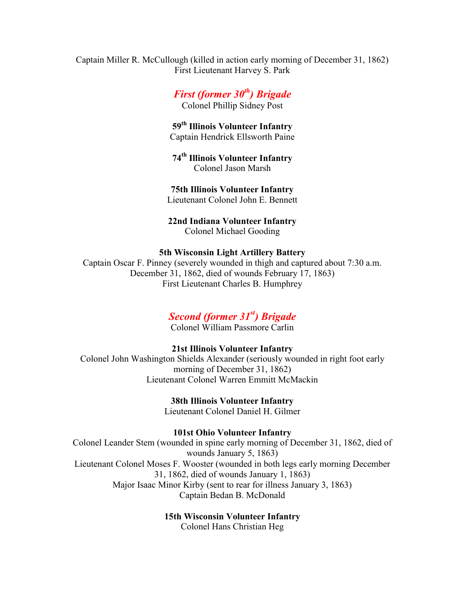Captain Miller R. McCullough (killed in action early morning of December 31, 1862) First Lieutenant Harvey S. Park

> *First (former 30th) Brigade* Colonel Phillip Sidney Post

**59th Illinois Volunteer Infantry** Captain Hendrick Ellsworth Paine

**74th Illinois Volunteer Infantry** Colonel Jason Marsh

**75th Illinois Volunteer Infantry** Lieutenant Colonel John E. Bennett

**22nd Indiana Volunteer Infantry** Colonel Michael Gooding

#### **5th Wisconsin Light Artillery Battery**

Captain Oscar F. Pinney (severely wounded in thigh and captured about 7:30 a.m. December 31, 1862, died of wounds February 17, 1863) First Lieutenant Charles B. Humphrey

#### *Second (former 31st) Brigade*

Colonel William Passmore Carlin

#### **21st Illinois Volunteer Infantry**

Colonel John Washington Shields Alexander (seriously wounded in right foot early morning of December 31, 1862) Lieutenant Colonel Warren Emmitt McMackin

> **38th Illinois Volunteer Infantry** Lieutenant Colonel Daniel H. Gilmer

**101st Ohio Volunteer Infantry** Colonel Leander Stem (wounded in spine early morning of December 31, 1862, died of wounds January 5, 1863) Lieutenant Colonel Moses F. Wooster (wounded in both legs early morning December 31, 1862, died of wounds January 1, 1863) Major Isaac Minor Kirby (sent to rear for illness January 3, 1863) Captain Bedan B. McDonald

#### **15th Wisconsin Volunteer Infantry**

Colonel Hans Christian Heg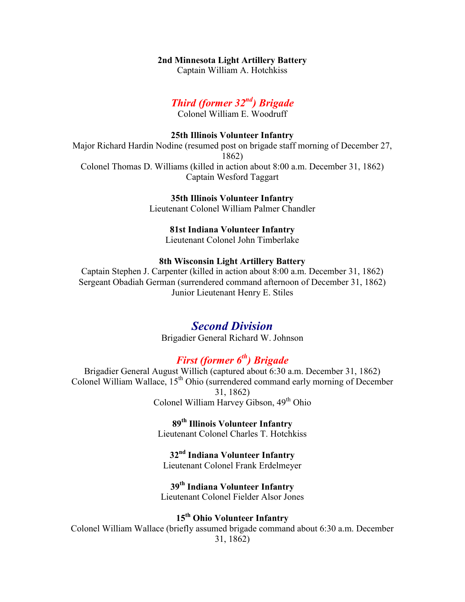#### **2nd Minnesota Light Artillery Battery**

Captain William A. Hotchkiss

# *Third (former 32nd) Brigade*

Colonel William E. Woodruff

#### **25th Illinois Volunteer Infantry**

Major Richard Hardin Nodine (resumed post on brigade staff morning of December 27, 1862) Colonel Thomas D. Williams (killed in action about 8:00 a.m. December 31, 1862) Captain Wesford Taggart

#### **35th Illinois Volunteer Infantry**

Lieutenant Colonel William Palmer Chandler

#### **81st Indiana Volunteer Infantry**

Lieutenant Colonel John Timberlake

#### **8th Wisconsin Light Artillery Battery**

Captain Stephen J. Carpenter (killed in action about 8:00 a.m. December 31, 1862) Sergeant Obadiah German (surrendered command afternoon of December 31, 1862) Junior Lieutenant Henry E. Stiles

#### *Second Division*

Brigadier General Richard W. Johnson

# *First (former 6th) Brigade*

Brigadier General August Willich (captured about 6:30 a.m. December 31, 1862) Colonel William Wallace,  $15<sup>th</sup> Ohio$  (surrendered command early morning of December 31, 1862) Colonel William Harvey Gibson, 49<sup>th</sup> Ohio

> **89th Illinois Volunteer Infantry** Lieutenant Colonel Charles T. Hotchkiss

**32nd Indiana Volunteer Infantry** Lieutenant Colonel Frank Erdelmeyer

# **39th Indiana Volunteer Infantry**

Lieutenant Colonel Fielder Alsor Jones

# **15th Ohio Volunteer Infantry**

Colonel William Wallace (briefly assumed brigade command about 6:30 a.m. December 31, 1862)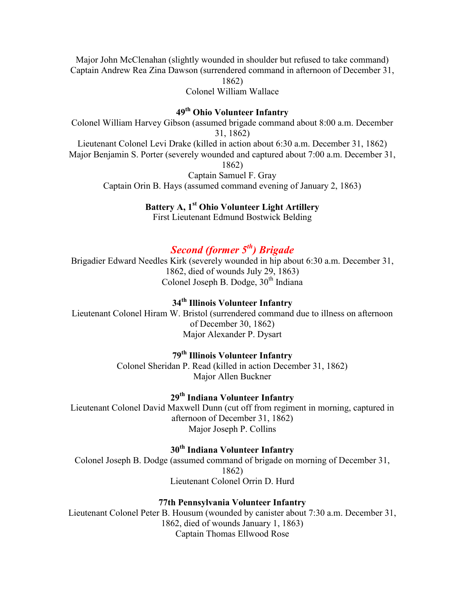Major John McClenahan (slightly wounded in shoulder but refused to take command) Captain Andrew Rea Zina Dawson (surrendered command in afternoon of December 31,

1862)

Colonel William Wallace

## **49th Ohio Volunteer Infantry**

Colonel William Harvey Gibson (assumed brigade command about 8:00 a.m. December 31, 1862) Lieutenant Colonel Levi Drake (killed in action about 6:30 a.m. December 31, 1862) Major Benjamin S. Porter (severely wounded and captured about 7:00 a.m. December 31, 1862) Captain Samuel F. Gray Captain Orin B. Hays (assumed command evening of January 2, 1863)

#### **Battery A, 1st Ohio Volunteer Light Artillery**

First Lieutenant Edmund Bostwick Belding

# *Second (former 5th) Brigade*

Brigadier Edward Needles Kirk (severely wounded in hip about 6:30 a.m. December 31, 1862, died of wounds July 29, 1863) Colonel Joseph B. Dodge,  $30<sup>th</sup>$  Indiana

## **34th Illinois Volunteer Infantry**

Lieutenant Colonel Hiram W. Bristol (surrendered command due to illness on afternoon of December 30, 1862) Major Alexander P. Dysart

#### **79th Illinois Volunteer Infantry**

Colonel Sheridan P. Read (killed in action December 31, 1862) Major Allen Buckner

## **29th Indiana Volunteer Infantry**

Lieutenant Colonel David Maxwell Dunn (cut off from regiment in morning, captured in afternoon of December 31, 1862) Major Joseph P. Collins

# **30th Indiana Volunteer Infantry**

Colonel Joseph B. Dodge (assumed command of brigade on morning of December 31, 1862) Lieutenant Colonel Orrin D. Hurd

#### **77th Pennsylvania Volunteer Infantry**

Lieutenant Colonel Peter B. Housum (wounded by canister about 7:30 a.m. December 31, 1862, died of wounds January 1, 1863) Captain Thomas Ellwood Rose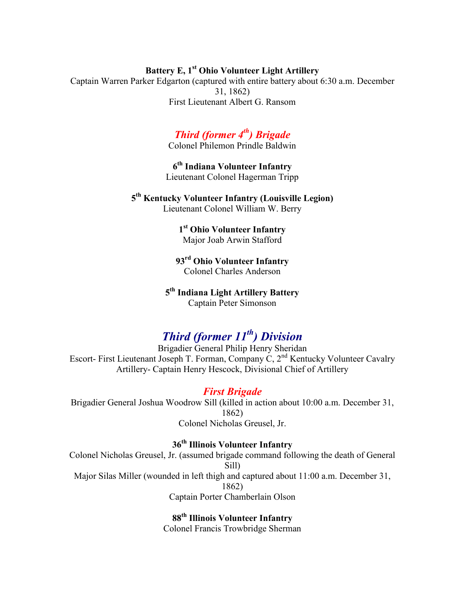# **Battery E, 1st Ohio Volunteer Light Artillery**

Captain Warren Parker Edgarton (captured with entire battery about 6:30 a.m. December 31, 1862) First Lieutenant Albert G. Ransom

# *Third (former 4th) Brigade*

Colonel Philemon Prindle Baldwin

**6 th Indiana Volunteer Infantry** Lieutenant Colonel Hagerman Tripp

**5 th Kentucky Volunteer Infantry (Louisville Legion)** Lieutenant Colonel William W. Berry

**1 st Ohio Volunteer Infantry** Major Joab Arwin Stafford

**93rd Ohio Volunteer Infantry** Colonel Charles Anderson

**5 th Indiana Light Artillery Battery** Captain Peter Simonson

# *Third (former 11th) Division*

Brigadier General Philip Henry Sheridan Escort- First Lieutenant Joseph T. Forman, Company C, 2nd Kentucky Volunteer Cavalry Artillery- Captain Henry Hescock, Divisional Chief of Artillery

#### *First Brigade*

Brigadier General Joshua Woodrow Sill (killed in action about 10:00 a.m. December 31, 1862) Colonel Nicholas Greusel, Jr.

#### **36th Illinois Volunteer Infantry**

Colonel Nicholas Greusel, Jr. (assumed brigade command following the death of General Sill) Major Silas Miller (wounded in left thigh and captured about 11:00 a.m. December 31, 1862) Captain Porter Chamberlain Olson

> **88th Illinois Volunteer Infantry** Colonel Francis Trowbridge Sherman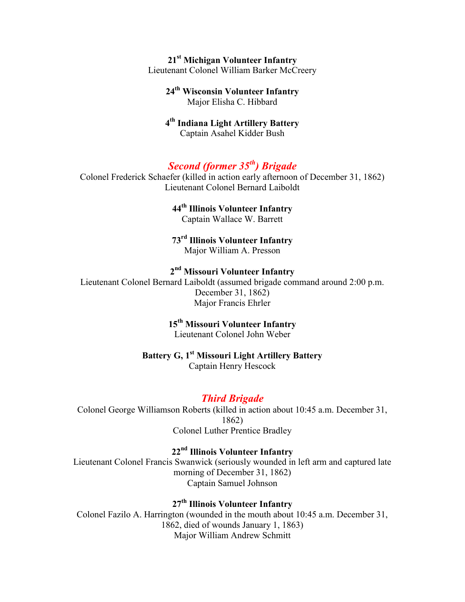#### **21st Michigan Volunteer Infantry** Lieutenant Colonel William Barker McCreery

#### **24th Wisconsin Volunteer Infantry** Major Elisha C. Hibbard

#### **4 th Indiana Light Artillery Battery** Captain Asahel Kidder Bush

# *Second (former 35th) Brigade*

Colonel Frederick Schaefer (killed in action early afternoon of December 31, 1862) Lieutenant Colonel Bernard Laiboldt

## **44th Illinois Volunteer Infantry**

Captain Wallace W. Barrett

#### **73rd Illinois Volunteer Infantry** Major William A. Presson

#### **2 nd Missouri Volunteer Infantry**

Lieutenant Colonel Bernard Laiboldt (assumed brigade command around 2:00 p.m. December 31, 1862) Major Francis Ehrler

# **15th Missouri Volunteer Infantry**

Lieutenant Colonel John Weber

# **Battery G, 1st Missouri Light Artillery Battery**

Captain Henry Hescock

# *Third Brigade*

Colonel George Williamson Roberts (killed in action about 10:45 a.m. December 31, 1862) Colonel Luther Prentice Bradley

## **22nd Illinois Volunteer Infantry**

Lieutenant Colonel Francis Swanwick (seriously wounded in left arm and captured late morning of December 31, 1862) Captain Samuel Johnson

# **27th Illinois Volunteer Infantry**

Colonel Fazilo A. Harrington (wounded in the mouth about 10:45 a.m. December 31, 1862, died of wounds January 1, 1863) Major William Andrew Schmitt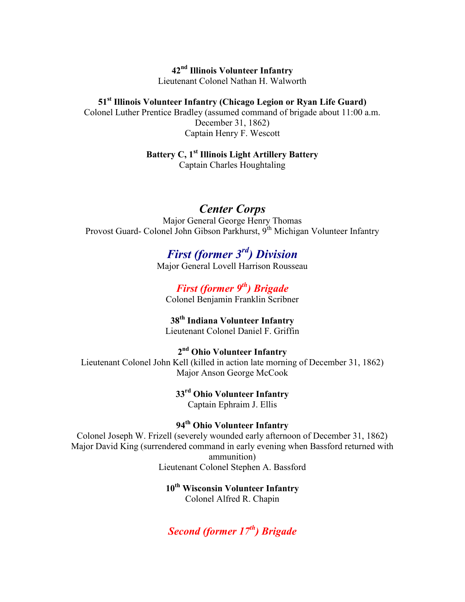**42nd Illinois Volunteer Infantry** Lieutenant Colonel Nathan H. Walworth

**51st Illinois Volunteer Infantry (Chicago Legion or Ryan Life Guard)** Colonel Luther Prentice Bradley (assumed command of brigade about 11:00 a.m. December 31, 1862) Captain Henry F. Wescott

**Battery C, 1st Illinois Light Artillery Battery**

Captain Charles Houghtaling

*Center Corps* Major General George Henry Thomas Provost Guard- Colonel John Gibson Parkhurst, 9<sup>th</sup> Michigan Volunteer Infantry

> *First (former 3rd) Division* Major General Lovell Harrison Rousseau

*First (former 9th) Brigade* Colonel Benjamin Franklin Scribner

**38th Indiana Volunteer Infantry** Lieutenant Colonel Daniel F. Griffin

**2 nd Ohio Volunteer Infantry** Lieutenant Colonel John Kell (killed in action late morning of December 31, 1862) Major Anson George McCook

> **33rd Ohio Volunteer Infantry** Captain Ephraim J. Ellis

**94th Ohio Volunteer Infantry** Colonel Joseph W. Frizell (severely wounded early afternoon of December 31, 1862) Major David King (surrendered command in early evening when Bassford returned with ammunition) Lieutenant Colonel Stephen A. Bassford

> **10th Wisconsin Volunteer Infantry** Colonel Alfred R. Chapin

*Second (former 17th) Brigade*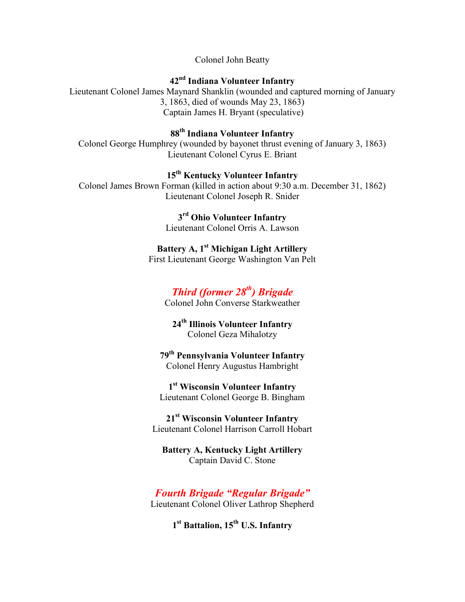Colonel John Beatty

# **42nd Indiana Volunteer Infantry**

Lieutenant Colonel James Maynard Shanklin (wounded and captured morning of January 3, 1863, died of wounds May 23, 1863) Captain James H. Bryant (speculative)

**88th Indiana Volunteer Infantry**

Colonel George Humphrey (wounded by bayonet thrust evening of January 3, 1863) Lieutenant Colonel Cyrus E. Briant

**15th Kentucky Volunteer Infantry** Colonel James Brown Forman (killed in action about 9:30 a.m. December 31, 1862) Lieutenant Colonel Joseph R. Snider

> **3 rd Ohio Volunteer Infantry** Lieutenant Colonel Orris A. Lawson

**Battery A, 1st Michigan Light Artillery** First Lieutenant George Washington Van Pelt

# *Third (former 28th) Brigade*

Colonel John Converse Starkweather

**24th Illinois Volunteer Infantry** Colonel Geza Mihalotzy

**79th Pennsylvania Volunteer Infantry** Colonel Henry Augustus Hambright

**1 st Wisconsin Volunteer Infantry** Lieutenant Colonel George B. Bingham

**21st Wisconsin Volunteer Infantry** Lieutenant Colonel Harrison Carroll Hobart

**Battery A, Kentucky Light Artillery** Captain David C. Stone

*Fourth Brigade "Regular Brigade"* Lieutenant Colonel Oliver Lathrop Shepherd

**1 st Battalion, 15th U.S. Infantry**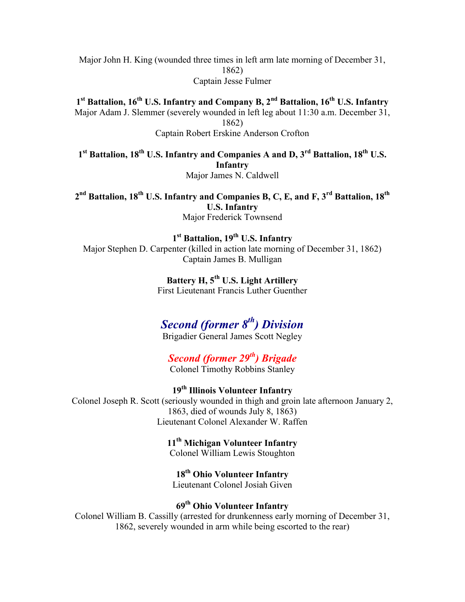Major John H. King (wounded three times in left arm late morning of December 31, 1862) Captain Jesse Fulmer

**1 st Battalion, 16th U.S. Infantry and Company B, 2nd Battalion, 16th U.S. Infantry** Major Adam J. Slemmer (severely wounded in left leg about 11:30 a.m. December 31, 1862)

Captain Robert Erskine Anderson Crofton

**1 st Battalion, 18th U.S. Infantry and Companies A and D, 3rd Battalion, 18th U.S. Infantry** Major James N. Caldwell

**2 nd Battalion, 18th U.S. Infantry and Companies B, C, E, and F, 3rd Battalion, 18th U.S. Infantry** Major Frederick Townsend

**1 st Battalion, 19th U.S. Infantry** Major Stephen D. Carpenter (killed in action late morning of December 31, 1862) Captain James B. Mulligan

> **Battery H, 5th U.S. Light Artillery** First Lieutenant Francis Luther Guenther

# *Second (former 8th) Division*

Brigadier General James Scott Negley

*Second (former 29th) Brigade* Colonel Timothy Robbins Stanley

**19th Illinois Volunteer Infantry** Colonel Joseph R. Scott (seriously wounded in thigh and groin late afternoon January 2, 1863, died of wounds July 8, 1863) Lieutenant Colonel Alexander W. Raffen

**11th Michigan Volunteer Infantry**

Colonel William Lewis Stoughton

**18th Ohio Volunteer Infantry** Lieutenant Colonel Josiah Given

## **69th Ohio Volunteer Infantry**

Colonel William B. Cassilly (arrested for drunkenness early morning of December 31, 1862, severely wounded in arm while being escorted to the rear)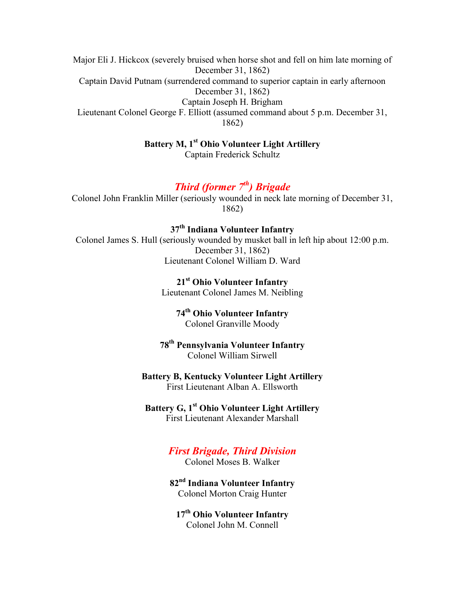Major Eli J. Hickcox (severely bruised when horse shot and fell on him late morning of December 31, 1862) Captain David Putnam (surrendered command to superior captain in early afternoon December 31, 1862) Captain Joseph H. Brigham Lieutenant Colonel George F. Elliott (assumed command about 5 p.m. December 31, 1862)

> **Battery M, 1st Ohio Volunteer Light Artillery** Captain Frederick Schultz

## *Third (former 7th) Brigade*

Colonel John Franklin Miller (seriously wounded in neck late morning of December 31, 1862)

**37th Indiana Volunteer Infantry**

Colonel James S. Hull (seriously wounded by musket ball in left hip about 12:00 p.m. December 31, 1862) Lieutenant Colonel William D. Ward

> **21st Ohio Volunteer Infantry** Lieutenant Colonel James M. Neibling

> > **74th Ohio Volunteer Infantry** Colonel Granville Moody

**78th Pennsylvania Volunteer Infantry** Colonel William Sirwell

**Battery B, Kentucky Volunteer Light Artillery** First Lieutenant Alban A. Ellsworth

**Battery G, 1st Ohio Volunteer Light Artillery** First Lieutenant Alexander Marshall

#### *First Brigade, Third Division*

Colonel Moses B. Walker

**82nd Indiana Volunteer Infantry** Colonel Morton Craig Hunter

**17th Ohio Volunteer Infantry** Colonel John M. Connell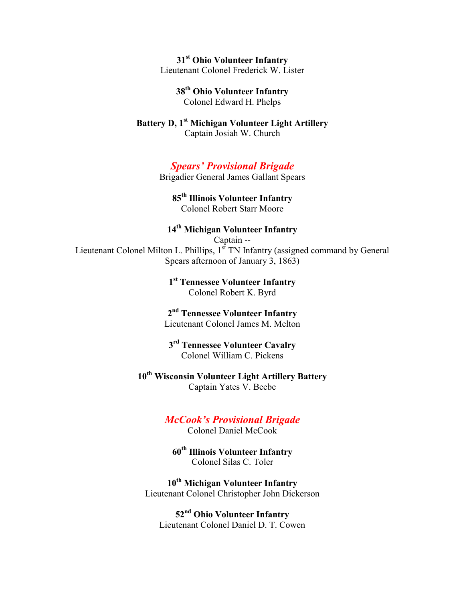**31st Ohio Volunteer Infantry** Lieutenant Colonel Frederick W. Lister

> **38th Ohio Volunteer Infantry** Colonel Edward H. Phelps

**Battery D, 1st Michigan Volunteer Light Artillery** Captain Josiah W. Church

## *Spears' Provisional Brigade*

Brigadier General James Gallant Spears

#### **85th Illinois Volunteer Infantry** Colonel Robert Starr Moore

#### **14th Michigan Volunteer Infantry**

Captain -- Lieutenant Colonel Milton L. Phillips,  $1<sup>st</sup>$  TN Infantry (assigned command by General Spears afternoon of January 3, 1863)

> **1 st Tennessee Volunteer Infantry** Colonel Robert K. Byrd

**2 nd Tennessee Volunteer Infantry** Lieutenant Colonel James M. Melton

**3 rd Tennessee Volunteer Cavalry** Colonel William C. Pickens

**10th Wisconsin Volunteer Light Artillery Battery** Captain Yates V. Beebe

#### *McCook's Provisional Brigade*

Colonel Daniel McCook

**60th Illinois Volunteer Infantry** Colonel Silas C. Toler

**10th Michigan Volunteer Infantry** Lieutenant Colonel Christopher John Dickerson

**52nd Ohio Volunteer Infantry** Lieutenant Colonel Daniel D. T. Cowen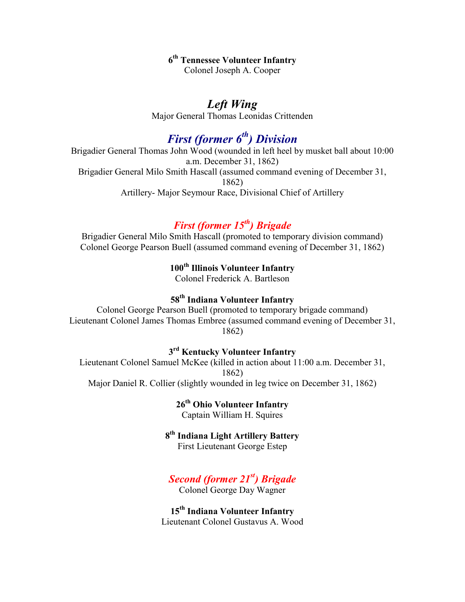# **6 th Tennessee Volunteer Infantry**

Colonel Joseph A. Cooper

# *Left Wing*

Major General Thomas Leonidas Crittenden

# *First (former 6th) Division*

Brigadier General Thomas John Wood (wounded in left heel by musket ball about 10:00 a.m. December 31, 1862) Brigadier General Milo Smith Hascall (assumed command evening of December 31, 1862) Artillery- Major Seymour Race, Divisional Chief of Artillery

# *First (former 15th) Brigade*

Brigadier General Milo Smith Hascall (promoted to temporary division command) Colonel George Pearson Buell (assumed command evening of December 31, 1862)

**100th Illinois Volunteer Infantry**

Colonel Frederick A. Bartleson

# **58th Indiana Volunteer Infantry**

Colonel George Pearson Buell (promoted to temporary brigade command) Lieutenant Colonel James Thomas Embree (assumed command evening of December 31, 1862)

#### **3 rd Kentucky Volunteer Infantry**

Lieutenant Colonel Samuel McKee (killed in action about 11:00 a.m. December 31, 1862) Major Daniel R. Collier (slightly wounded in leg twice on December 31, 1862)

**26th Ohio Volunteer Infantry**

Captain William H. Squires

# **8 th Indiana Light Artillery Battery**

First Lieutenant George Estep

# *Second (former 21 st) Brigade*

Colonel George Day Wagner

**15th Indiana Volunteer Infantry** Lieutenant Colonel Gustavus A. Wood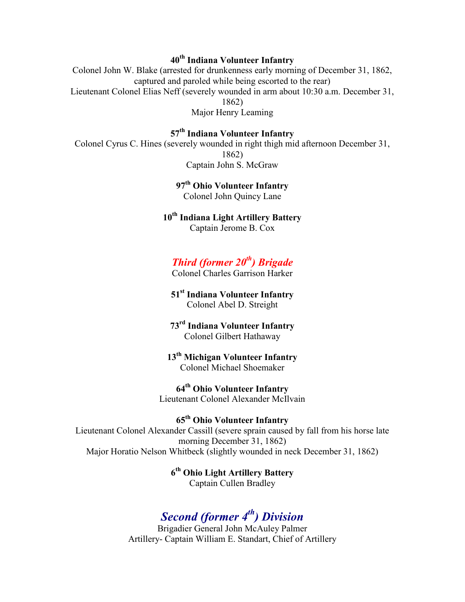# **40th Indiana Volunteer Infantry**

Colonel John W. Blake (arrested for drunkenness early morning of December 31, 1862, captured and paroled while being escorted to the rear) Lieutenant Colonel Elias Neff (severely wounded in arm about 10:30 a.m. December 31, 1862) Major Henry Leaming

**57th Indiana Volunteer Infantry**

Colonel Cyrus C. Hines (severely wounded in right thigh mid afternoon December 31, 1862) Captain John S. McGraw

> **97th Ohio Volunteer Infantry** Colonel John Quincy Lane

**10th Indiana Light Artillery Battery** Captain Jerome B. Cox

# *Third (former 20th) Brigade*

Colonel Charles Garrison Harker

**51st Indiana Volunteer Infantry** Colonel Abel D. Streight

**73rd Indiana Volunteer Infantry** Colonel Gilbert Hathaway

**13th Michigan Volunteer Infantry** Colonel Michael Shoemaker

**64th Ohio Volunteer Infantry** Lieutenant Colonel Alexander McIlvain

**65th Ohio Volunteer Infantry**

Lieutenant Colonel Alexander Cassill (severe sprain caused by fall from his horse late morning December 31, 1862) Major Horatio Nelson Whitbeck (slightly wounded in neck December 31, 1862)

> **6 th Ohio Light Artillery Battery** Captain Cullen Bradley

# *Second (former 4th) Division*

Brigadier General John McAuley Palmer Artillery- Captain William E. Standart, Chief of Artillery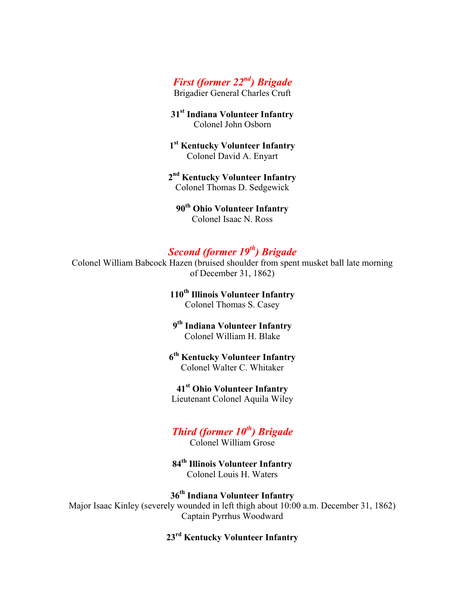# *First (former 22nd) Brigade*

Brigadier General Charles Cruft

**31st Indiana Volunteer Infantry** Colonel John Osborn

**1 st Kentucky Volunteer Infantry** Colonel David A. Enyart

**2 nd Kentucky Volunteer Infantry** Colonel Thomas D. Sedgewick

**90th Ohio Volunteer Infantry** Colonel Isaac N. Ross

# *Second (former 19th) Brigade*

Colonel William Babcock Hazen (bruised shoulder from spent musket ball late morning of December 31, 1862)

> **110th Illinois Volunteer Infantry** Colonel Thomas S. Casey

**9 th Indiana Volunteer Infantry** Colonel William H. Blake

**6 th Kentucky Volunteer Infantry** Colonel Walter C. Whitaker

**41st Ohio Volunteer Infantry** Lieutenant Colonel Aquila Wiley

# *Third (former 10th) Brigade*

Colonel William Grose

**84th Illinois Volunteer Infantry** Colonel Louis H. Waters

**36th Indiana Volunteer Infantry** Major Isaac Kinley (severely wounded in left thigh about 10:00 a.m. December 31, 1862) Captain Pyrrhus Woodward

**23rd Kentucky Volunteer Infantry**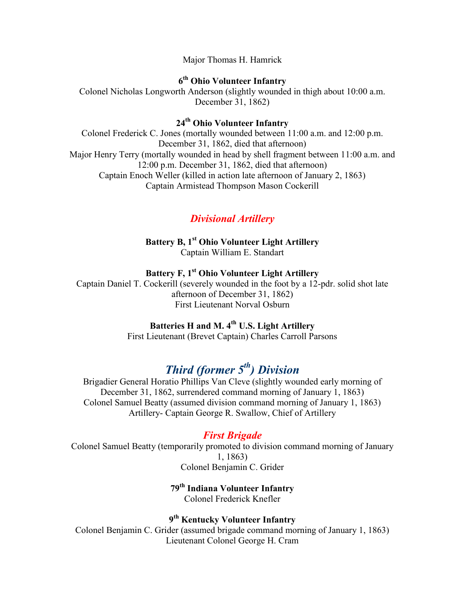Major Thomas H. Hamrick

**6 th Ohio Volunteer Infantry**

Colonel Nicholas Longworth Anderson (slightly wounded in thigh about 10:00 a.m. December 31, 1862)

**24th Ohio Volunteer Infantry**

Colonel Frederick C. Jones (mortally wounded between 11:00 a.m. and 12:00 p.m. December 31, 1862, died that afternoon) Major Henry Terry (mortally wounded in head by shell fragment between 11:00 a.m. and 12:00 p.m. December 31, 1862, died that afternoon) Captain Enoch Weller (killed in action late afternoon of January 2, 1863) Captain Armistead Thompson Mason Cockerill

# *Divisional Artillery*

**Battery B, 1st Ohio Volunteer Light Artillery** Captain William E. Standart

#### **Battery F, 1st Ohio Volunteer Light Artillery**

Captain Daniel T. Cockerill (severely wounded in the foot by a 12-pdr. solid shot late afternoon of December 31, 1862) First Lieutenant Norval Osburn

#### **Batteries H and M. 4th U.S. Light Artillery**

First Lieutenant (Brevet Captain) Charles Carroll Parsons

# *Third (former 5th) Division*

Brigadier General Horatio Phillips Van Cleve (slightly wounded early morning of December 31, 1862, surrendered command morning of January 1, 1863) Colonel Samuel Beatty (assumed division command morning of January 1, 1863) Artillery- Captain George R. Swallow, Chief of Artillery

# *First Brigade*

Colonel Samuel Beatty (temporarily promoted to division command morning of January 1, 1863) Colonel Benjamin C. Grider

## **79th Indiana Volunteer Infantry** Colonel Frederick Knefler

**9 th Kentucky Volunteer Infantry** Colonel Benjamin C. Grider (assumed brigade command morning of January 1, 1863) Lieutenant Colonel George H. Cram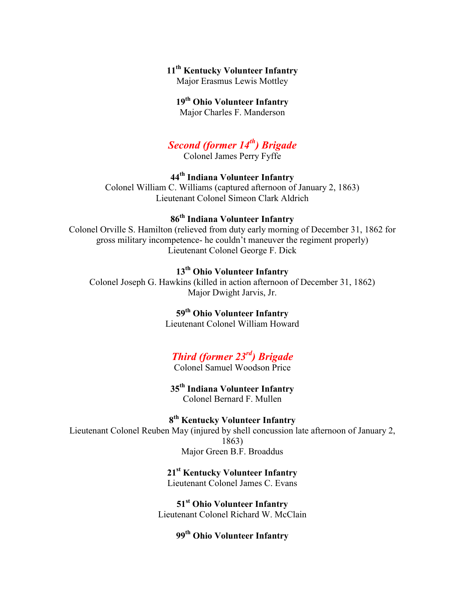## **11th Kentucky Volunteer Infantry**

Major Erasmus Lewis Mottley

#### **19th Ohio Volunteer Infantry**

Major Charles F. Manderson

# *Second (former 14th) Brigade*

Colonel James Perry Fyffe

## **44th Indiana Volunteer Infantry**

Colonel William C. Williams (captured afternoon of January 2, 1863) Lieutenant Colonel Simeon Clark Aldrich

# **86th Indiana Volunteer Infantry**

Colonel Orville S. Hamilton (relieved from duty early morning of December 31, 1862 for gross military incompetence- he couldn't maneuver the regiment properly) Lieutenant Colonel George F. Dick

## **13th Ohio Volunteer Infantry**

Colonel Joseph G. Hawkins (killed in action afternoon of December 31, 1862) Major Dwight Jarvis, Jr.

# **59th Ohio Volunteer Infantry**

Lieutenant Colonel William Howard

# *Third (former 23rd) Brigade*

Colonel Samuel Woodson Price

**35th Indiana Volunteer Infantry** Colonel Bernard F. Mullen

**8 th Kentucky Volunteer Infantry** Lieutenant Colonel Reuben May (injured by shell concussion late afternoon of January 2, 1863) Major Green B.F. Broaddus

#### **21st Kentucky Volunteer Infantry** Lieutenant Colonel James C. Evans

**51st Ohio Volunteer Infantry** Lieutenant Colonel Richard W. McClain

## **99th Ohio Volunteer Infantry**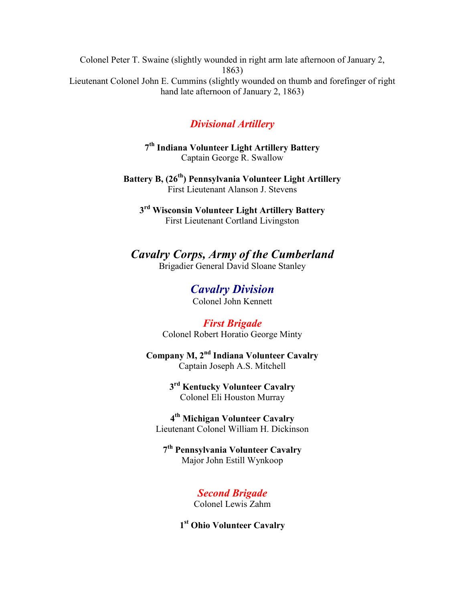Colonel Peter T. Swaine (slightly wounded in right arm late afternoon of January 2, 1863) Lieutenant Colonel John E. Cummins (slightly wounded on thumb and forefinger of right hand late afternoon of January 2, 1863)

# *Divisional Artillery*

**7 th Indiana Volunteer Light Artillery Battery** Captain George R. Swallow

**Battery B, (26th) Pennsylvania Volunteer Light Artillery** First Lieutenant Alanson J. Stevens

**3 rd Wisconsin Volunteer Light Artillery Battery** First Lieutenant Cortland Livingston

*Cavalry Corps, Army of the Cumberland* Brigadier General David Sloane Stanley

> *Cavalry Division* Colonel John Kennett

*First Brigade* Colonel Robert Horatio George Minty

**Company M, 2nd Indiana Volunteer Cavalry** Captain Joseph A.S. Mitchell

> **3 rd Kentucky Volunteer Cavalry** Colonel Eli Houston Murray

**4 th Michigan Volunteer Cavalry** Lieutenant Colonel William H. Dickinson

**7 th Pennsylvania Volunteer Cavalry** Major John Estill Wynkoop

> *Second Brigade* Colonel Lewis Zahm

**1 st Ohio Volunteer Cavalry**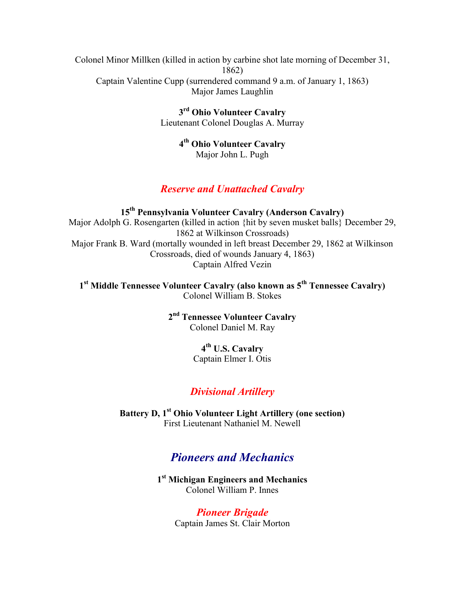Colonel Minor Millken (killed in action by carbine shot late morning of December 31, 1862) Captain Valentine Cupp (surrendered command 9 a.m. of January 1, 1863) Major James Laughlin

> **3 rd Ohio Volunteer Cavalry** Lieutenant Colonel Douglas A. Murray

> > **4 th Ohio Volunteer Cavalry** Major John L. Pugh

#### *Reserve and Unattached Cavalry*

**15th Pennsylvania Volunteer Cavalry (Anderson Cavalry)** Major Adolph G. Rosengarten (killed in action {hit by seven musket balls} December 29, 1862 at Wilkinson Crossroads) Major Frank B. Ward (mortally wounded in left breast December 29, 1862 at Wilkinson Crossroads, died of wounds January 4, 1863) Captain Alfred Vezin

**1 st Middle Tennessee Volunteer Cavalry (also known as 5th Tennessee Cavalry)** Colonel William B. Stokes

> **2 nd Tennessee Volunteer Cavalry** Colonel Daniel M. Ray

# **4 th U.S. Cavalry**

Captain Elmer I. Otis

# *Divisional Artillery*

**Battery D, 1st Ohio Volunteer Light Artillery (one section)** First Lieutenant Nathaniel M. Newell

# *Pioneers and Mechanics*

**1 st Michigan Engineers and Mechanics** Colonel William P. Innes

> *Pioneer Brigade* Captain James St. Clair Morton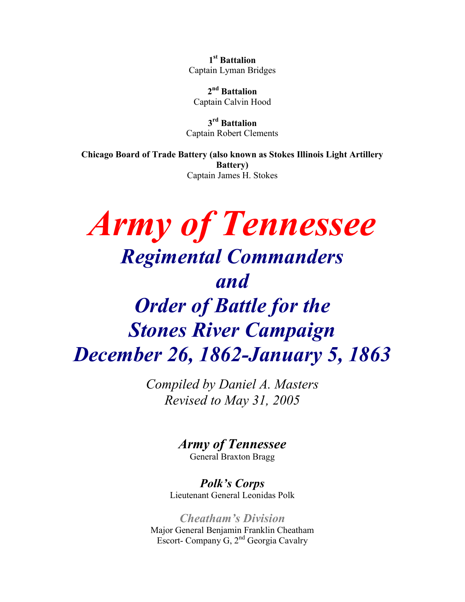**1 st Battalion** Captain Lyman Bridges

**2 nd Battalion** Captain Calvin Hood

**3 rd Battalion** Captain Robert Clements

**Chicago Board of Trade Battery (also known as Stokes Illinois Light Artillery Battery)** Captain James H. Stokes

# *Army of Tennessee Regimental Commanders and Order of Battle for the Stones River Campaign December 26, 1862-January 5, 1863*

*Compiled by Daniel A. Masters Revised to May 31, 2005*

> *Army of Tennessee* General Braxton Bragg

*Polk's Corps* Lieutenant General Leonidas Polk

*Cheatham's Division* Major General Benjamin Franklin Cheatham Escort- Company G, 2nd Georgia Cavalry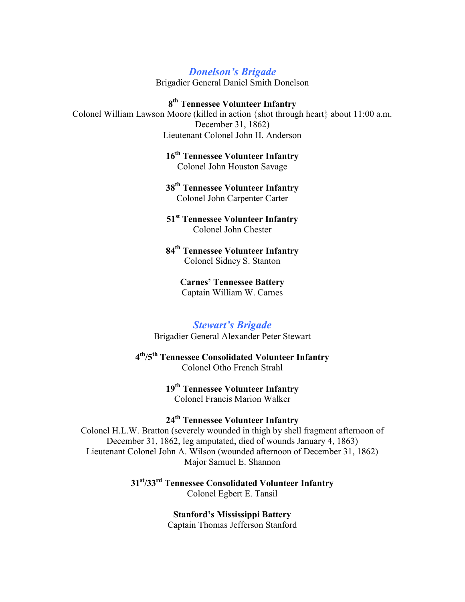#### *Donelson's Brigade*

Brigadier General Daniel Smith Donelson

**8 th Tennessee Volunteer Infantry** Colonel William Lawson Moore (killed in action {shot through heart} about 11:00 a.m. December 31, 1862) Lieutenant Colonel John H. Anderson

> **16th Tennessee Volunteer Infantry** Colonel John Houston Savage

> **38th Tennessee Volunteer Infantry** Colonel John Carpenter Carter

> **51st Tennessee Volunteer Infantry** Colonel John Chester

> **84th Tennessee Volunteer Infantry** Colonel Sidney S. Stanton

> > **Carnes' Tennessee Battery** Captain William W. Carnes

#### *Stewart's Brigade*

Brigadier General Alexander Peter Stewart

#### **4 th/5th Tennessee Consolidated Volunteer Infantry** Colonel Otho French Strahl

#### **19th Tennessee Volunteer Infantry** Colonel Francis Marion Walker

## **24th Tennessee Volunteer Infantry**

Colonel H.L.W. Bratton (severely wounded in thigh by shell fragment afternoon of December 31, 1862, leg amputated, died of wounds January 4, 1863) Lieutenant Colonel John A. Wilson (wounded afternoon of December 31, 1862) Major Samuel E. Shannon

> **31st/33rd Tennessee Consolidated Volunteer Infantry** Colonel Egbert E. Tansil

> > **Stanford's Mississippi Battery** Captain Thomas Jefferson Stanford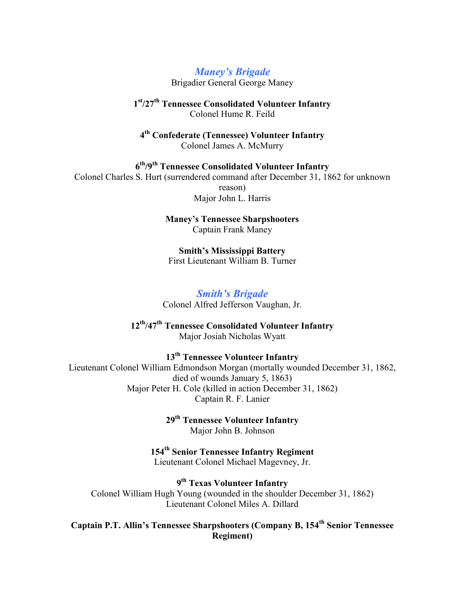*Maney's Brigade*

Brigadier General George Maney

**1 st/27th Tennessee Consolidated Volunteer Infantry** Colonel Hume R. Feild

**4 th Confederate (Tennessee) Volunteer Infantry** Colonel James A. McMurry

**6 th/9th Tennessee Consolidated Volunteer Infantry** Colonel Charles S. Hurt (surrendered command after December 31, 1862 for unknown reason) Major John L. Harris

> **Maney's Tennessee Sharpshooters** Captain Frank Maney

**Smith's Mississippi Battery** First Lieutenant William B. Turner

# *Smith's Brigade*

Colonel Alfred Jefferson Vaughan, Jr.

**12th/47th Tennessee Consolidated Volunteer Infantry** Major Josiah Nicholas Wyatt

**13th Tennessee Volunteer Infantry**

Lieutenant Colonel William Edmondson Morgan (mortally wounded December 31, 1862, died of wounds January 5, 1863) Major Peter H. Cole (killed in action December 31, 1862) Captain R. F. Lanier

> **29th Tennessee Volunteer Infantry** Major John B. Johnson

**154th Senior Tennessee Infantry Regiment** Lieutenant Colonel Michael Magevney, Jr.

**9 th Texas Volunteer Infantry** Colonel William Hugh Young (wounded in the shoulder December 31, 1862) Lieutenant Colonel Miles A. Dillard

**Captain P.T. Allin's Tennessee Sharpshooters (Company B, 154th Senior Tennessee Regiment)**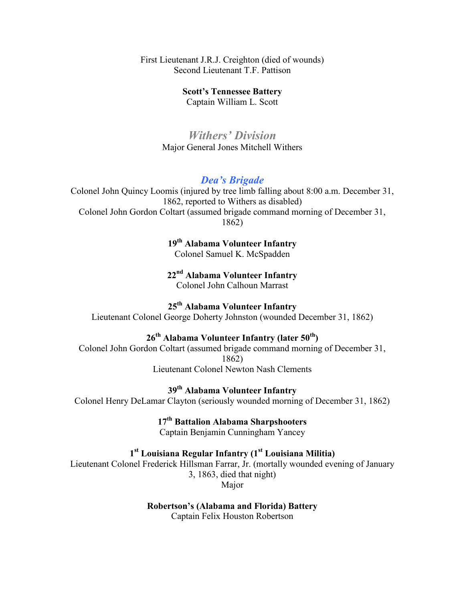First Lieutenant J.R.J. Creighton (died of wounds) Second Lieutenant T.F. Pattison

**Scott's Tennessee Battery**

Captain William L. Scott

*Withers' Division* Major General Jones Mitchell Withers

#### *Dea's Brigade*

Colonel John Quincy Loomis (injured by tree limb falling about 8:00 a.m. December 31, 1862, reported to Withers as disabled) Colonel John Gordon Coltart (assumed brigade command morning of December 31, 1862)

> **19th Alabama Volunteer Infantry** Colonel Samuel K. McSpadden

> **22nd Alabama Volunteer Infantry** Colonel John Calhoun Marrast

**25th Alabama Volunteer Infantry**

Lieutenant Colonel George Doherty Johnston (wounded December 31, 1862)

# **26th Alabama Volunteer Infantry (later 50th)**

Colonel John Gordon Coltart (assumed brigade command morning of December 31, 1862) Lieutenant Colonel Newton Nash Clements

**39th Alabama Volunteer Infantry** Colonel Henry DeLamar Clayton (seriously wounded morning of December 31, 1862)

> **17th Battalion Alabama Sharpshooters** Captain Benjamin Cunningham Yancey

#### **1 st Louisiana Regular Infantry (1st Louisiana Militia)**

Lieutenant Colonel Frederick Hillsman Farrar, Jr. (mortally wounded evening of January 3, 1863, died that night) Major

> **Robertson's (Alabama and Florida) Battery** Captain Felix Houston Robertson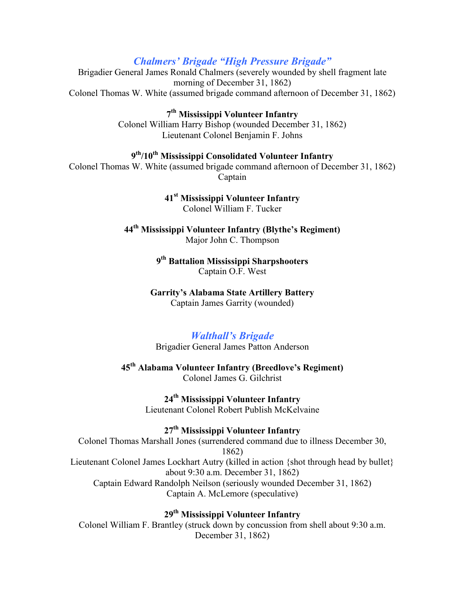#### *Chalmers' Brigade "High Pressure Brigade"*

Brigadier General James Ronald Chalmers (severely wounded by shell fragment late morning of December 31, 1862) Colonel Thomas W. White (assumed brigade command afternoon of December 31, 1862)

> **7 th Mississippi Volunteer Infantry** Colonel William Harry Bishop (wounded December 31, 1862) Lieutenant Colonel Benjamin F. Johns

#### **9 th/10th Mississippi Consolidated Volunteer Infantry**

Colonel Thomas W. White (assumed brigade command afternoon of December 31, 1862) Captain

> **41st Mississippi Volunteer Infantry** Colonel William F. Tucker

**44th Mississippi Volunteer Infantry (Blythe's Regiment)** Major John C. Thompson

> **9 th Battalion Mississippi Sharpshooters** Captain O.F. West

**Garrity's Alabama State Artillery Battery** Captain James Garrity (wounded)

#### *Walthall's Brigade*

Brigadier General James Patton Anderson

**45th Alabama Volunteer Infantry (Breedlove's Regiment)** Colonel James G. Gilchrist

> **24th Mississippi Volunteer Infantry** Lieutenant Colonel Robert Publish McKelvaine

#### **27th Mississippi Volunteer Infantry**

Colonel Thomas Marshall Jones (surrendered command due to illness December 30, 1862) Lieutenant Colonel James Lockhart Autry (killed in action {shot through head by bullet} about 9:30 a.m. December 31, 1862) Captain Edward Randolph Neilson (seriously wounded December 31, 1862) Captain A. McLemore (speculative)

**29th Mississippi Volunteer Infantry**

Colonel William F. Brantley (struck down by concussion from shell about 9:30 a.m. December 31, 1862)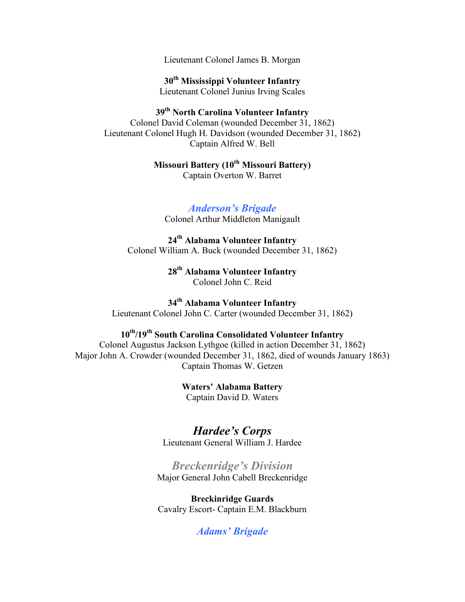Lieutenant Colonel James B. Morgan

**30th Mississippi Volunteer Infantry** Lieutenant Colonel Junius Irving Scales

**39th North Carolina Volunteer Infantry** Colonel David Coleman (wounded December 31, 1862) Lieutenant Colonel Hugh H. Davidson (wounded December 31, 1862) Captain Alfred W. Bell

> **Missouri Battery (10th Missouri Battery)** Captain Overton W. Barret

*Anderson's Brigade* Colonel Arthur Middleton Manigault

**24th Alabama Volunteer Infantry** Colonel William A. Buck (wounded December 31, 1862)

> **28th Alabama Volunteer Infantry** Colonel John C. Reid

**34th Alabama Volunteer Infantry** Lieutenant Colonel John C. Carter (wounded December 31, 1862)

# **10th/19th South Carolina Consolidated Volunteer Infantry**

Colonel Augustus Jackson Lythgoe (killed in action December 31, 1862) Major John A. Crowder (wounded December 31, 1862, died of wounds January 1863) Captain Thomas W. Getzen

> **Waters' Alabama Battery** Captain David D. Waters

*Hardee's Corps* Lieutenant General William J. Hardee

*Breckenridge's Division* Major General John Cabell Breckenridge

**Breckinridge Guards** Cavalry Escort- Captain E.M. Blackburn

*Adams' Brigade*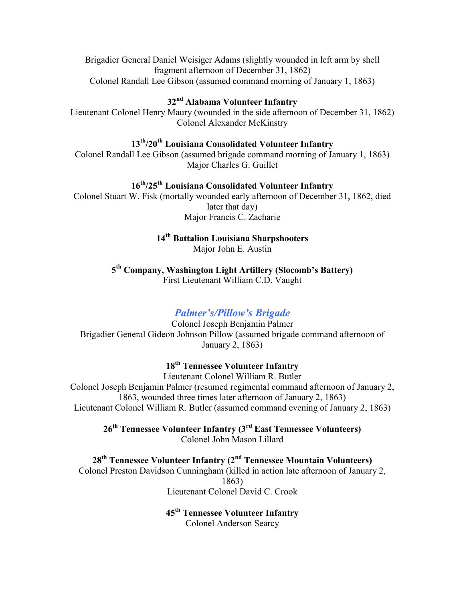Brigadier General Daniel Weisiger Adams (slightly wounded in left arm by shell fragment afternoon of December 31, 1862) Colonel Randall Lee Gibson (assumed command morning of January 1, 1863)

#### **32nd Alabama Volunteer Infantry**

Lieutenant Colonel Henry Maury (wounded in the side afternoon of December 31, 1862) Colonel Alexander McKinstry

# **13th/20th Louisiana Consolidated Volunteer Infantry**

Colonel Randall Lee Gibson (assumed brigade command morning of January 1, 1863) Major Charles G. Guillet

# **16th/25th Louisiana Consolidated Volunteer Infantry**

Colonel Stuart W. Fisk (mortally wounded early afternoon of December 31, 1862, died later that day) Major Francis C. Zacharie

# **14th Battalion Louisiana Sharpshooters**

Major John E. Austin

**5 th Company, Washington Light Artillery (Slocomb's Battery)** First Lieutenant William C.D. Vaught

#### *Palmer's/Pillow's Brigade*

Colonel Joseph Benjamin Palmer Brigadier General Gideon Johnson Pillow (assumed brigade command afternoon of January 2, 1863)

#### **18th Tennessee Volunteer Infantry**

Lieutenant Colonel William R. Butler Colonel Joseph Benjamin Palmer (resumed regimental command afternoon of January 2, 1863, wounded three times later afternoon of January 2, 1863) Lieutenant Colonel William R. Butler (assumed command evening of January 2, 1863)

**26th Tennessee Volunteer Infantry (3rd East Tennessee Volunteers)** Colonel John Mason Lillard

## **28th Tennessee Volunteer Infantry (2nd Tennessee Mountain Volunteers)**

Colonel Preston Davidson Cunningham (killed in action late afternoon of January 2, 1863) Lieutenant Colonel David C. Crook

#### **45th Tennessee Volunteer Infantry**

Colonel Anderson Searcy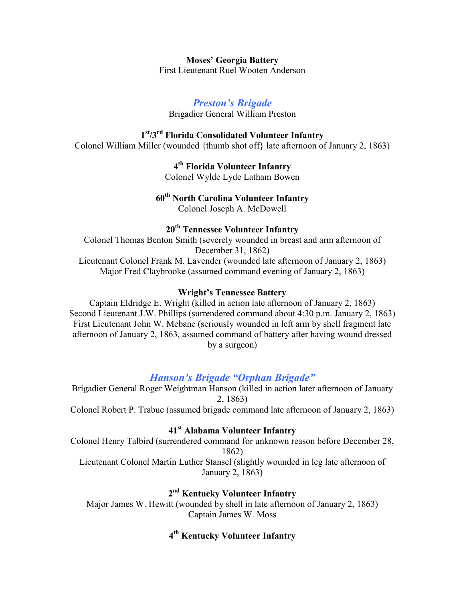**Moses' Georgia Battery** First Lieutenant Ruel Wooten Anderson

#### *Preston's Brigade*

Brigadier General William Preston

## **1 st/3rd Florida Consolidated Volunteer Infantry**

Colonel William Miller (wounded {thumb shot off} late afternoon of January 2, 1863)

**4 th Florida Volunteer Infantry** Colonel Wylde Lyde Latham Bowen

#### **60th North Carolina Volunteer Infantry** Colonel Joseph A. McDowell

#### **20th Tennessee Volunteer Infantry**

Colonel Thomas Benton Smith (severely wounded in breast and arm afternoon of December 31, 1862) Lieutenant Colonel Frank M. Lavender (wounded late afternoon of January 2, 1863) Major Fred Claybrooke (assumed command evening of January 2, 1863)

#### **Wright's Tennessee Battery**

Captain Eldridge E. Wright (killed in action late afternoon of January 2, 1863) Second Lieutenant J.W. Phillips (surrendered command about 4:30 p.m. January 2, 1863) First Lieutenant John W. Mebane (seriously wounded in left arm by shell fragment late afternoon of January 2, 1863, assumed command of battery after having wound dressed by a surgeon)

#### *Hanson's Brigade "Orphan Brigade"*

Brigadier General Roger Weightman Hanson (killed in action later afternoon of January 2, 1863) Colonel Robert P. Trabue (assumed brigade command late afternoon of January 2, 1863)

#### **41st Alabama Volunteer Infantry**

Colonel Henry Talbird (surrendered command for unknown reason before December 28, 1862)

Lieutenant Colonel Martin Luther Stansel (slightly wounded in leg late afternoon of January 2, 1863)

## **2 nd Kentucky Volunteer Infantry**

Major James W. Hewitt (wounded by shell in late afternoon of January 2, 1863) Captain James W. Moss

### **4 th Kentucky Volunteer Infantry**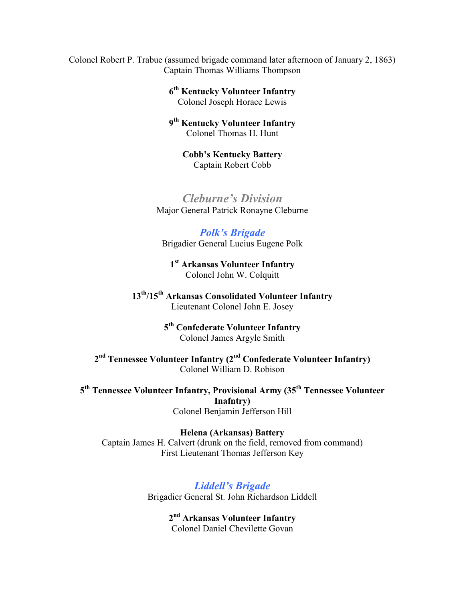Colonel Robert P. Trabue (assumed brigade command later afternoon of January 2, 1863) Captain Thomas Williams Thompson

> **6 th Kentucky Volunteer Infantry** Colonel Joseph Horace Lewis

> **9 th Kentucky Volunteer Infantry** Colonel Thomas H. Hunt

**Cobb's Kentucky Battery** Captain Robert Cobb

*Cleburne's Division* Major General Patrick Ronayne Cleburne

*Polk's Brigade* Brigadier General Lucius Eugene Polk

**1 st Arkansas Volunteer Infantry** Colonel John W. Colquitt

**13th/15th Arkansas Consolidated Volunteer Infantry** Lieutenant Colonel John E. Josey

> **5 th Confederate Volunteer Infantry** Colonel James Argyle Smith

**2 nd Tennessee Volunteer Infantry (2nd Confederate Volunteer Infantry)** Colonel William D. Robison

**5 th Tennessee Volunteer Infantry, Provisional Army (35th Tennessee Volunteer Inafntry)** Colonel Benjamin Jefferson Hill

**Helena (Arkansas) Battery** Captain James H. Calvert (drunk on the field, removed from command) First Lieutenant Thomas Jefferson Key

> *Liddell's Brigade* Brigadier General St. John Richardson Liddell

> > **2 nd Arkansas Volunteer Infantry** Colonel Daniel Chevilette Govan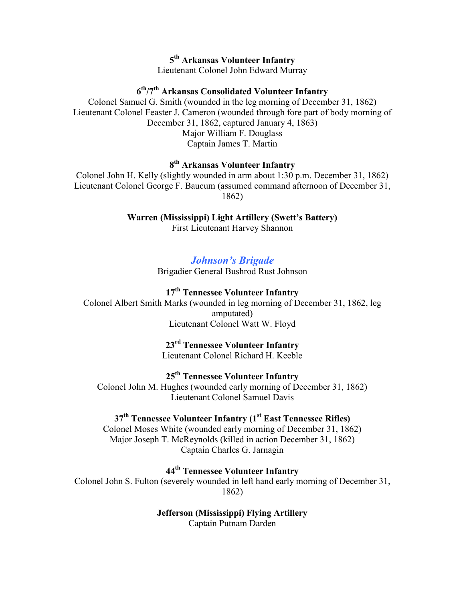## **5 th Arkansas Volunteer Infantry**

Lieutenant Colonel John Edward Murray

#### **6 th/7th Arkansas Consolidated Volunteer Infantry**

Colonel Samuel G. Smith (wounded in the leg morning of December 31, 1862) Lieutenant Colonel Feaster J. Cameron (wounded through fore part of body morning of December 31, 1862, captured January 4, 1863) Major William F. Douglass Captain James T. Martin

#### **8 th Arkansas Volunteer Infantry**

Colonel John H. Kelly (slightly wounded in arm about 1:30 p.m. December 31, 1862) Lieutenant Colonel George F. Baucum (assumed command afternoon of December 31, 1862)

# **Warren (Mississippi) Light Artillery (Swett's Battery)**

First Lieutenant Harvey Shannon

#### *Johnson's Brigade*

Brigadier General Bushrod Rust Johnson

## **17th Tennessee Volunteer Infantry**

Colonel Albert Smith Marks (wounded in leg morning of December 31, 1862, leg amputated) Lieutenant Colonel Watt W. Floyd

# **23rd Tennessee Volunteer Infantry**

Lieutenant Colonel Richard H. Keeble

#### **25th Tennessee Volunteer Infantry**

Colonel John M. Hughes (wounded early morning of December 31, 1862) Lieutenant Colonel Samuel Davis

#### **37th Tennessee Volunteer Infantry (1st East Tennessee Rifles)**

Colonel Moses White (wounded early morning of December 31, 1862) Major Joseph T. McReynolds (killed in action December 31, 1862) Captain Charles G. Jarnagin

**44th Tennessee Volunteer Infantry**

Colonel John S. Fulton (severely wounded in left hand early morning of December 31, 1862)

# **Jefferson (Mississippi) Flying Artillery**

Captain Putnam Darden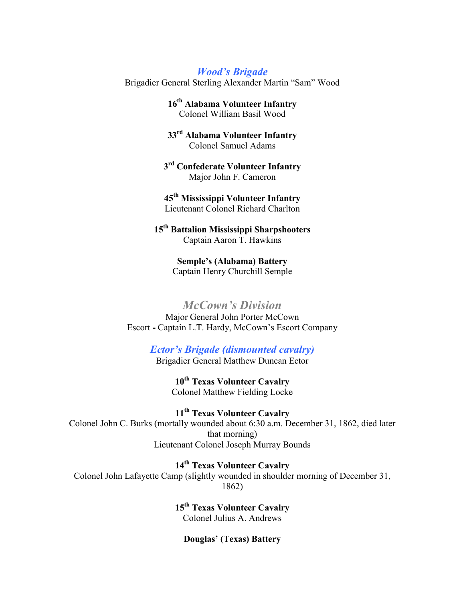*Wood's Brigade* Brigadier General Sterling Alexander Martin "Sam" Wood

> **16th Alabama Volunteer Infantry** Colonel William Basil Wood

> **33rd Alabama Volunteer Infantry** Colonel Samuel Adams

**3 rd Confederate Volunteer Infantry** Major John F. Cameron

**45th Mississippi Volunteer Infantry** Lieutenant Colonel Richard Charlton

**15th Battalion Mississippi Sharpshooters** Captain Aaron T. Hawkins

> **Semple's (Alabama) Battery** Captain Henry Churchill Semple

*McCown's Division* Major General John Porter McCown Escort **-** Captain L.T. Hardy, McCown's Escort Company

*Ector's Brigade (dismounted cavalry)*

Brigadier General Matthew Duncan Ector

**10th Texas Volunteer Cavalry** Colonel Matthew Fielding Locke

**11th Texas Volunteer Cavalry** Colonel John C. Burks (mortally wounded about 6:30 a.m. December 31, 1862, died later that morning) Lieutenant Colonel Joseph Murray Bounds

**14th Texas Volunteer Cavalry** Colonel John Lafayette Camp (slightly wounded in shoulder morning of December 31, 1862)

> **15th Texas Volunteer Cavalry** Colonel Julius A. Andrews

**Douglas' (Texas) Battery**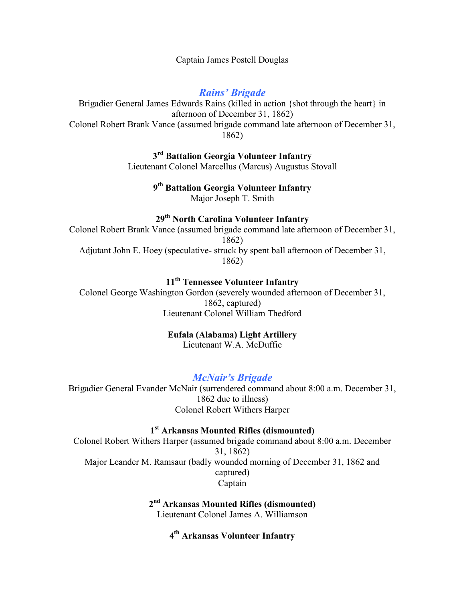Captain James Postell Douglas

*Rains' Brigade*

Brigadier General James Edwards Rains (killed in action {shot through the heart} in afternoon of December 31, 1862) Colonel Robert Brank Vance (assumed brigade command late afternoon of December 31, 1862)

> **3 rd Battalion Georgia Volunteer Infantry** Lieutenant Colonel Marcellus (Marcus) Augustus Stovall

> > **9 th Battalion Georgia Volunteer Infantry** Major Joseph T. Smith

> > **29th North Carolina Volunteer Infantry**

Colonel Robert Brank Vance (assumed brigade command late afternoon of December 31, 1862) Adjutant John E. Hoey (speculative- struck by spent ball afternoon of December 31, 1862)

# **11th Tennessee Volunteer Infantry**

Colonel George Washington Gordon (severely wounded afternoon of December 31, 1862, captured) Lieutenant Colonel William Thedford

#### **Eufala (Alabama) Light Artillery**

Lieutenant W.A. McDuffie

#### *McNair's Brigade*

Brigadier General Evander McNair (surrendered command about 8:00 a.m. December 31, 1862 due to illness) Colonel Robert Withers Harper

#### **1 st Arkansas Mounted Rifles (dismounted)**

Colonel Robert Withers Harper (assumed brigade command about 8:00 a.m. December 31, 1862) Major Leander M. Ramsaur (badly wounded morning of December 31, 1862 and captured) Captain

> **2 nd Arkansas Mounted Rifles (dismounted)** Lieutenant Colonel James A. Williamson

> > **4 th Arkansas Volunteer Infantry**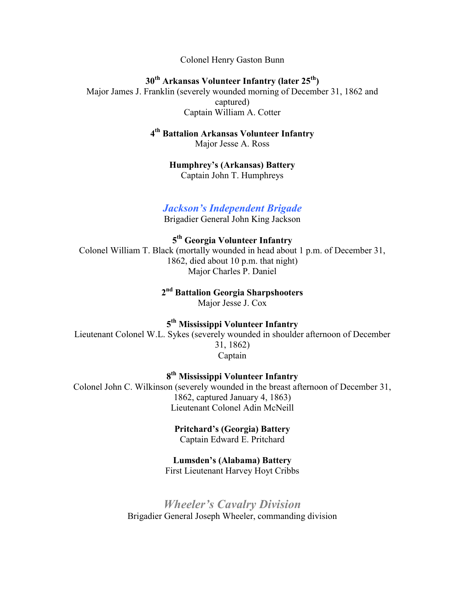Colonel Henry Gaston Bunn

**30th Arkansas Volunteer Infantry (later 25th)** Major James J. Franklin (severely wounded morning of December 31, 1862 and captured) Captain William A. Cotter

#### **4 th Battalion Arkansas Volunteer Infantry** Major Jesse A. Ross

**Humphrey's (Arkansas) Battery** Captain John T. Humphreys

#### *Jackson's Independent Brigade*

Brigadier General John King Jackson

**5 th Georgia Volunteer Infantry** Colonel William T. Black (mortally wounded in head about 1 p.m. of December 31, 1862, died about 10 p.m. that night) Major Charles P. Daniel

## **2 nd Battalion Georgia Sharpshooters**

Major Jesse J. Cox

#### **5 th Mississippi Volunteer Infantry**

Lieutenant Colonel W.L. Sykes (severely wounded in shoulder afternoon of December 31, 1862) Captain

**8 th Mississippi Volunteer Infantry**

Colonel John C. Wilkinson (severely wounded in the breast afternoon of December 31, 1862, captured January 4, 1863) Lieutenant Colonel Adin McNeill

# **Pritchard's (Georgia) Battery**

Captain Edward E. Pritchard

### **Lumsden's (Alabama) Battery**

First Lieutenant Harvey Hoyt Cribbs

## *Wheeler's Cavalry Division* Brigadier General Joseph Wheeler, commanding division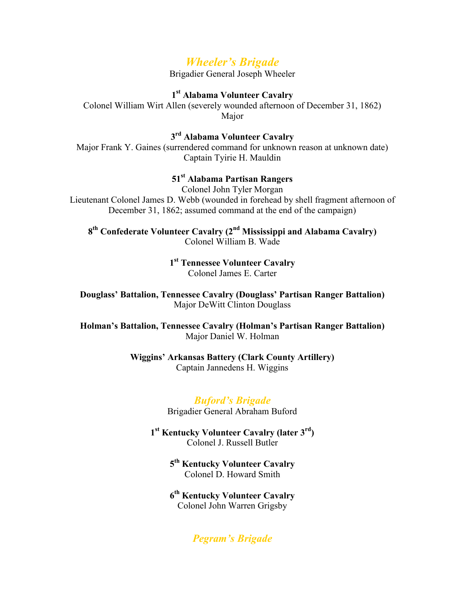# *Wheeler's Brigade*

Brigadier General Joseph Wheeler

#### **1 st Alabama Volunteer Cavalry**

Colonel William Wirt Allen (severely wounded afternoon of December 31, 1862) Major

## **3 rd Alabama Volunteer Cavalry**

Major Frank Y. Gaines (surrendered command for unknown reason at unknown date) Captain Tyirie H. Mauldin

#### **51st Alabama Partisan Rangers**

Colonel John Tyler Morgan Lieutenant Colonel James D. Webb (wounded in forehead by shell fragment afternoon of December 31, 1862; assumed command at the end of the campaign)

**8 th Confederate Volunteer Cavalry (2nd Mississippi and Alabama Cavalry)** Colonel William B. Wade

> **1 st Tennessee Volunteer Cavalry** Colonel James E. Carter

**Douglass' Battalion, Tennessee Cavalry (Douglass' Partisan Ranger Battalion)** Major DeWitt Clinton Douglass

**Holman's Battalion, Tennessee Cavalry (Holman's Partisan Ranger Battalion)** Major Daniel W. Holman

#### **Wiggins' Arkansas Battery (Clark County Artillery)** Captain Jannedens H. Wiggins

#### *Buford's Brigade*

Brigadier General Abraham Buford

**1 st Kentucky Volunteer Cavalry (later 3rd)** Colonel J. Russell Butler

> **5 th Kentucky Volunteer Cavalry** Colonel D. Howard Smith

**6 th Kentucky Volunteer Cavalry** Colonel John Warren Grigsby

## *Pegram's Brigade*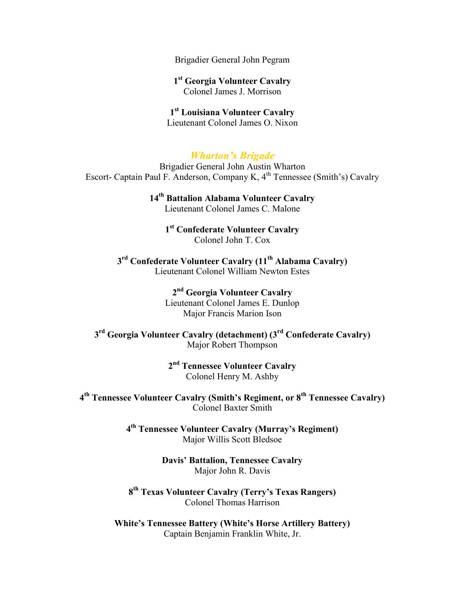Brigadier General John Pegram

**1 st Georgia Volunteer Cavalry** Colonel James J. Morrison

#### **1 st Louisiana Volunteer Cavalry** Lieutenant Colonel James O. Nixon

## *Wharton's Brigade*

Brigadier General John Austin Wharton Escort- Captain Paul F. Anderson, Company K,  $4<sup>th</sup>$  Tennessee (Smith's) Cavalry

> **14th Battalion Alabama Volunteer Cavalry** Lieutenant Colonel James C. Malone

> > **1 st Confederate Volunteer Cavalry** Colonel John T. Cox

**3 rd Confederate Volunteer Cavalry (11th Alabama Cavalry)** Lieutenant Colonel William Newton Estes

> **2 nd Georgia Volunteer Cavalry** Lieutenant Colonel James E. Dunlop Major Francis Marion Ison

**3 rd Georgia Volunteer Cavalry (detachment) (3rd Confederate Cavalry)** Major Robert Thompson

> **2 nd Tennessee Volunteer Cavalry** Colonel Henry M. Ashby

**4 th Tennessee Volunteer Cavalry (Smith's Regiment, or 8th Tennessee Cavalry)** Colonel Baxter Smith

> **4 th Tennessee Volunteer Cavalry (Murray's Regiment)** Major Willis Scott Bledsoe

> > **Davis' Battalion, Tennessee Cavalry** Major John R. Davis

**8 th Texas Volunteer Cavalry (Terry's Texas Rangers)** Colonel Thomas Harrison

**White's Tennessee Battery (White's Horse Artillery Battery)** Captain Benjamin Franklin White, Jr.